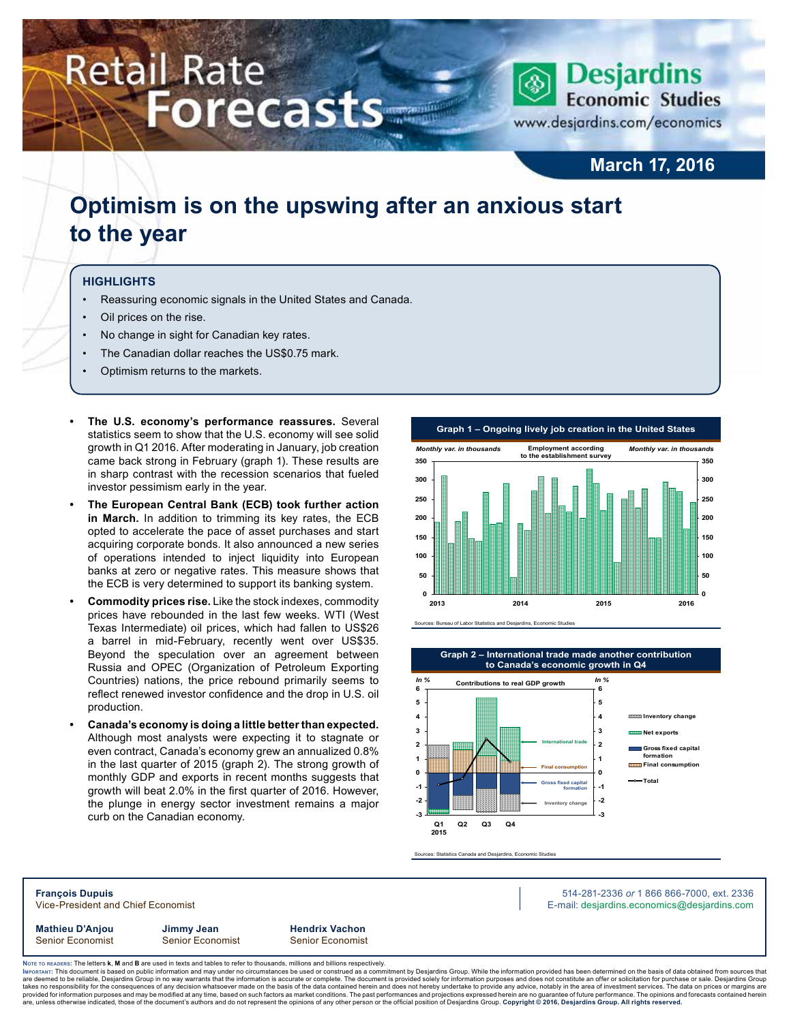# **Retail Rate Forecasts**



www.desjardins.com/economics

### **March 17, 2016**

### **Optimism is on the upswing after an anxious start to the year**

#### **Highlights**

- Reassuring economic signals in the United States and Canada.
- Oil prices on the rise.
- No change in sight for Canadian key rates.
- The Canadian dollar reaches the US\$0.75 mark.
- Optimism returns to the markets.
- **• The U.S. economy's performance reassures.** Several statistics seem to show that the U.S. economy will see solid growth in Q1 2016. After moderating in January, job creation came back strong in February (graph 1). These results are in sharp contrast with the recession scenarios that fueled investor pessimism early in the year.
- **• The European Central Bank (ECB) took further action in March.** In addition to trimming its key rates, the ECB opted to accelerate the pace of asset purchases and start acquiring corporate bonds. It also announced a new series of operations intended to inject liquidity into European banks at zero or negative rates. This measure shows that the ECB is very determined to support its banking system.
- **• Commodity prices rise.** Like the stock indexes, commodity prices have rebounded in the last few weeks. WTI (West Texas Intermediate) oil prices, which had fallen to US\$26 a barrel in mid-February, recently went over US\$35. Beyond the speculation over an agreement between Russia and OPEC (Organization of Petroleum Exporting Countries) nations, the price rebound primarily seems to reflect renewed investor confidence and the drop in U.S. oil production.
- **• Canada's economy is doing a little better than expected.**  Although most analysts were expecting it to stagnate or even contract, Canada's economy grew an annualized 0.8% in the last quarter of 2015 (graph 2). The strong growth of monthly GDP and exports in recent months suggests that growth will beat 2.0% in the first quarter of 2016. However, the plunge in energy sector investment remains a major curb on the Canadian economy.





Sources: Statistics Canada and Desjardins, Economic Studies

**François Dupuis** 514-281-2336 *or* 1 866 866-7000, ext. 2336 Vice-President and Chief Economist **E-mail: designediate and Chief Economist** E-mail: designediate economics@desjardins.com

**Mathieu D'Anjou Jimmy Jean Hendrix Vachon** Senior Economist Senior Economist Senior Economist

Noте то келоекs: The letters **k, M** and **B** are used in texts and tables to refer to thousands, millions and billions respectively.<br>Імроктлит: This document is based on public information and may under no circumstances be are deemed to be reliable, Desjardins Group in no way warrants that the information is accurate or complete. The document is provided solely for information purposes and does not constitute an offer or solicitation for pur takes no responsibility for the consequences of any decision whatsoever made on the basis of the data contained herein and does not hereby undertake to provide any advice, notably in the area of investment services. The da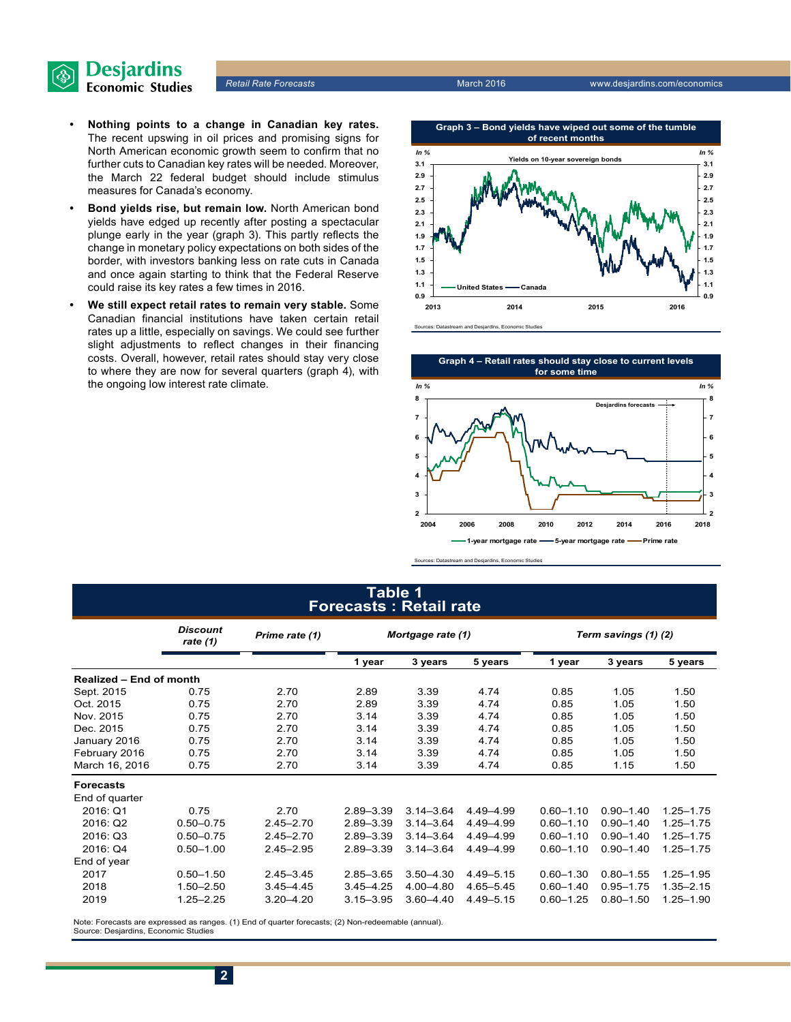

- **• Nothing points to a change in Canadian key rates.** The recent upswing in oil prices and promising signs for North American economic growth seem to confirm that no further cuts to Canadian key rates will be needed. Moreover, the March 22 federal budget should include stimulus measures for Canada's economy.
- **• Bond yields rise, but remain low.** North American bond yields have edged up recently after posting a spectacular plunge early in the year (graph 3). This partly reflects the change in monetary policy expectations on both sides of the border, with investors banking less on rate cuts in Canada and once again starting to think that the Federal Reserve could raise its key rates a few times in 2016.
- **• We still expect retail rates to remain very stable.** Some Canadian financial institutions have taken certain retail rates up a little, especially on savings. We could see further slight adjustments to reflect changes in their financing costs. Overall, however, retail rates should stay very close to where they are now for several quarters (graph 4), with the ongoing low interest rate climate.





Sources: Datastream and Desjardins, Economic Studies

#### **Table 1 Forecasts : Retail rate**

|                         | <b>Discount</b><br>rate (1) | Prime rate (1) | Mortgage rate (1) |               |               | Term savings (1) (2) |               |               |  |
|-------------------------|-----------------------------|----------------|-------------------|---------------|---------------|----------------------|---------------|---------------|--|
|                         |                             |                | 1 year            | 3 years       | 5 years       | 1 year               | 3 years       | 5 years       |  |
| Realized - End of month |                             |                |                   |               |               |                      |               |               |  |
| Sept. 2015              | 0.75                        | 2.70           | 2.89              | 3.39          | 4.74          | 0.85                 | 1.05          | 1.50          |  |
| Oct. 2015               | 0.75                        | 2.70           | 2.89              | 3.39          | 4.74          | 0.85                 | 1.05          | 1.50          |  |
| Nov. 2015               | 0.75                        | 2.70           | 3.14              | 3.39          | 4.74          | 0.85                 | 1.05          | 1.50          |  |
| Dec. 2015               | 0.75                        | 2.70           | 3.14              | 3.39          | 4.74          | 0.85                 | 1.05          | 1.50          |  |
| January 2016            | 0.75                        | 2.70           | 3.14              | 3.39          | 4.74          | 0.85                 | 1.05          | 1.50          |  |
| February 2016           | 0.75                        | 2.70           | 3.14              | 3.39          | 4.74          | 0.85                 | 1.05          | 1.50          |  |
| March 16, 2016          | 0.75                        | 2.70           | 3.14              | 3.39          | 4.74          | 0.85                 | 1.15          | 1.50          |  |
| <b>Forecasts</b>        |                             |                |                   |               |               |                      |               |               |  |
| End of quarter          |                             |                |                   |               |               |                      |               |               |  |
| 2016: Q1                | 0.75                        | 2.70           | $2.89 - 3.39$     | $3.14 - 3.64$ | 4.49 - 4.99   | $0.60 - 1.10$        | $0.90 - 1.40$ | $1.25 - 1.75$ |  |
| 2016: Q2                | $0.50 - 0.75$               | $2.45 - 2.70$  | 2.89-3.39         | $3.14 - 3.64$ | 4.49-4.99     | $0.60 - 1.10$        | $0.90 - 1.40$ | $1.25 - 1.75$ |  |
| 2016: Q3                | $0.50 - 0.75$               | $2.45 - 2.70$  | 2.89-3.39         | $3.14 - 3.64$ | 4.49-4.99     | $0.60 - 1.10$        | $0.90 - 1.40$ | $1.25 - 1.75$ |  |
| 2016: Q4                | $0.50 - 1.00$               | $2.45 - 2.95$  | $2.89 - 3.39$     | $3.14 - 3.64$ | 4.49 - 4.99   | $0.60 - 1.10$        | $0.90 - 1.40$ | $1.25 - 1.75$ |  |
| End of year             |                             |                |                   |               |               |                      |               |               |  |
| 2017                    | $0.50 - 1.50$               | $2.45 - 3.45$  | $2.85 - 3.65$     | $3.50 - 4.30$ | $4.49 - 5.15$ | $0.60 - 1.30$        | $0.80 - 1.55$ | $1.25 - 1.95$ |  |
| 2018                    | $1.50 - 2.50$               | $3.45 - 4.45$  | $3.45 - 4.25$     | 4.00 - 4.80   | $4.65 - 5.45$ | $0.60 - 1.40$        | $0.95 - 1.75$ | $1.35 - 2.15$ |  |
| 2019                    | $1.25 - 2.25$               | $3.20 - 4.20$  | $3.15 - 3.95$     | $3.60 - 4.40$ | $4.49 - 5.15$ | $0.60 - 1.25$        | $0.80 - 1.50$ | 1.25-1.90     |  |

Note: Forecasts are expressed as ranges. (1) End of quarter forecasts; (2) Non-redeemable (annual). Source: Desjardins, Economic Studies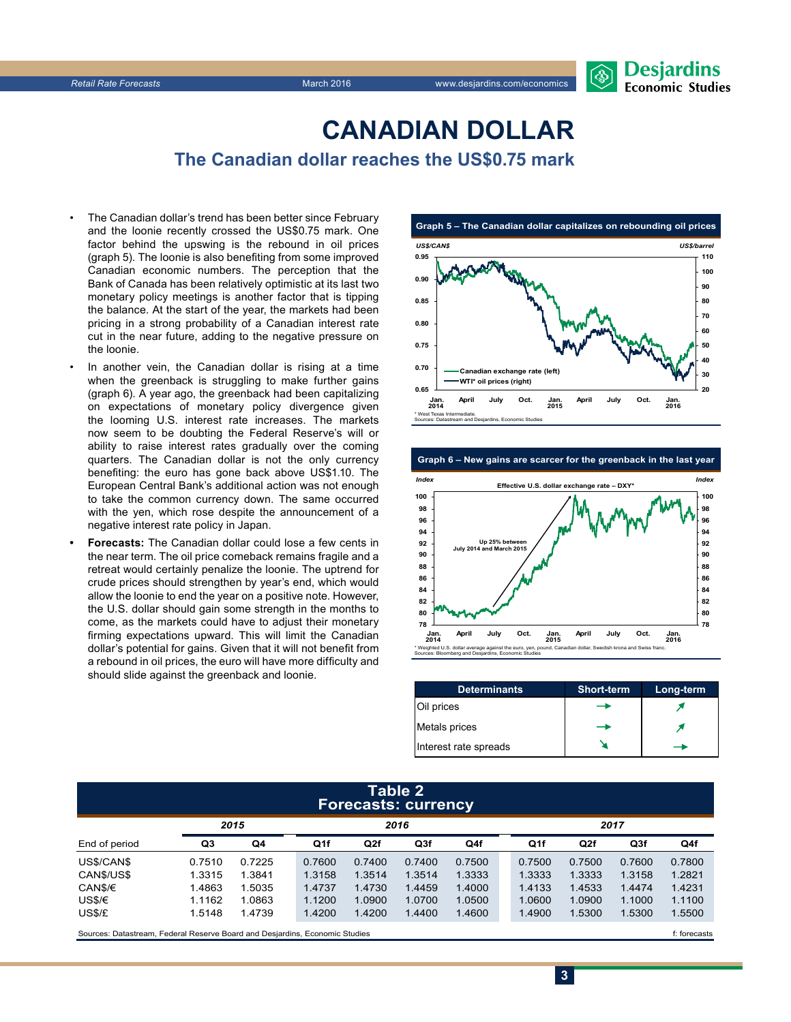## **CanadiAn Dollar**

**The Canadian dollar reaches the US\$0.75 mark**

- The Canadian dollar's trend has been better since February and the loonie recently crossed the US\$0.75 mark. One factor behind the upswing is the rebound in oil prices (graph 5). The loonie is also benefiting from some improved Canadian economic numbers. The perception that the Bank of Canada has been relatively optimistic at its last two monetary policy meetings is another factor that is tipping the balance. At the start of the year, the markets had been pricing in a strong probability of a Canadian interest rate cut in the near future, adding to the negative pressure on the loonie.
- In another vein, the Canadian dollar is rising at a time when the greenback is struggling to make further gains (graph 6). A year ago, the greenback had been capitalizing on expectations of monetary policy divergence given the looming U.S. interest rate increases. The markets now seem to be doubting the Federal Reserve's will or ability to raise interest rates gradually over the coming quarters. The Canadian dollar is not the only currency benefiting: the euro has gone back above US\$1.10. The European Central Bank's additional action was not enough to take the common currency down. The same occurred with the yen, which rose despite the announcement of a negative interest rate policy in Japan.
- **• Forecasts:** The Canadian dollar could lose a few cents in the near term. The oil price comeback remains fragile and a retreat would certainly penalize the loonie. The uptrend for crude prices should strengthen by year's end, which would allow the loonie to end the year on a positive note. However, the U.S. dollar should gain some strength in the months to come, as the markets could have to adjust their monetary firming expectations upward. This will limit the Canadian dollar's potential for gains. Given that it will not benefit from a rebound in oil prices, the euro will have more difficulty and should slide against the greenback and loonie.



**Graph 6 – New gains are scarcer for the greenback in the last year**



| <b>Determinants</b>   | <b>Short-term</b> | Long-term |
|-----------------------|-------------------|-----------|
| Oil prices            |                   |           |
| Metals prices         |                   |           |
| Interest rate spreads |                   | ∸         |

**3**

#### **Table 2 Forecasts: currency**

|               | 2015   |        | 2016   |        |        |        |  | 2017   |        |        |        |
|---------------|--------|--------|--------|--------|--------|--------|--|--------|--------|--------|--------|
| End of period | Q3     | Q4     | Q1f    | Q2f    | Q3f    | Q4f    |  | Q1f    | Q2f    | Q3f    | Q4f    |
| US\$/CAN\$    | 0.7510 | 0.7225 | 0.7600 | 0.7400 | 0.7400 | 0.7500 |  | 0.7500 | 0.7500 | 0.7600 | 0.7800 |
| CAN\$/US\$    | 1.3315 | 1.3841 | 1.3158 | 1.3514 | 1.3514 | 1.3333 |  | 1.3333 | 1.3333 | 1.3158 | 1.2821 |
| CAN\$/€       | 1.4863 | .5035  | 1.4737 | 1.4730 | 1.4459 | 1.4000 |  | 1.4133 | 1.4533 | 1.4474 | 1.4231 |
| USS/E         | 1.1162 | 1.0863 | 1.1200 | 1.0900 | 1.0700 | 1.0500 |  | 1.0600 | 1.0900 | 1.1000 | 1.1100 |
| US\$/£        | 1.5148 | 1.4739 | 1.4200 | 1.4200 | 1.4400 | 1.4600 |  | 1.4900 | 1.5300 | 1.5300 | 1.5500 |
|               |        |        |        |        |        |        |  |        |        |        |        |

Sources: Datastream, Federal Reserve Board and Desjardins, Economic Studies files for example of the studies files forecasts files forecasts files for example and the studies of the studies of the studies of the studies of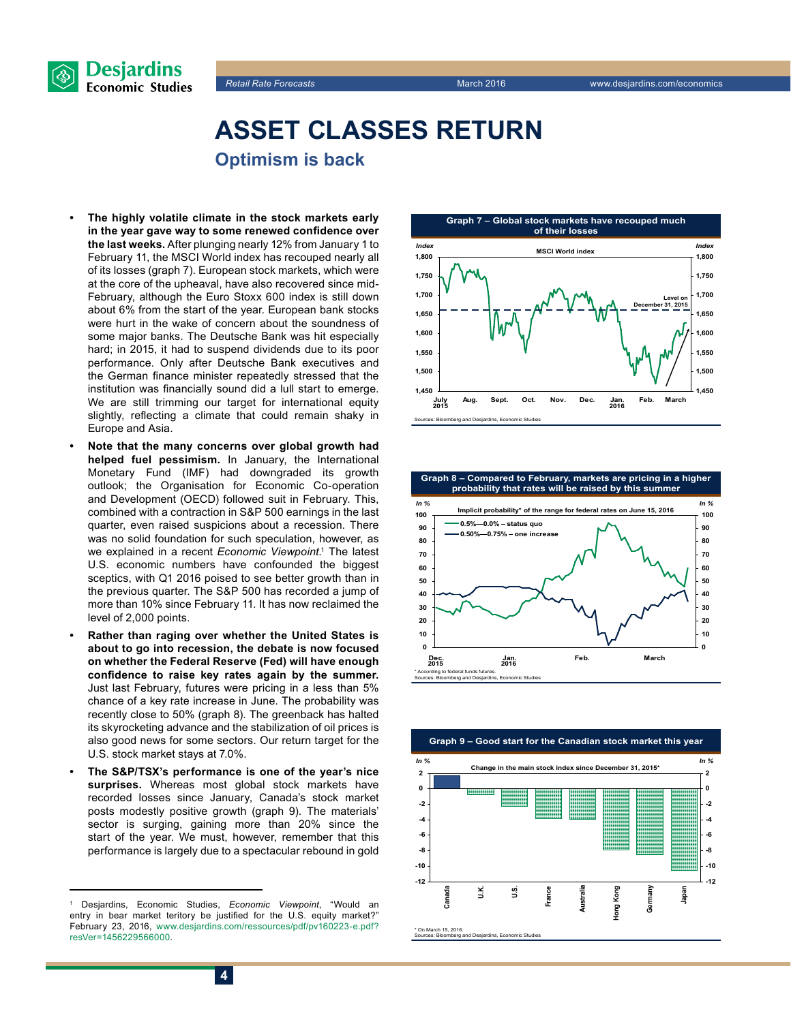



### **Asset classes return Optimism is back**

- **• The highly volatile climate in the stock markets early in the year gave way to some renewed confidence over the last weeks.** After plunging nearly 12% from January 1 to February 11, the MSCI World index has recouped nearly all of its losses (graph 7). European stock markets, which were at the core of the upheaval, have also recovered since mid-February, although the Euro Stoxx 600 index is still down about 6% from the start of the year. European bank stocks were hurt in the wake of concern about the soundness of some major banks. The Deutsche Bank was hit especially hard; in 2015, it had to suspend dividends due to its poor performance. Only after Deutsche Bank executives and the German finance minister repeatedly stressed that the institution was financially sound did a lull start to emerge. We are still trimming our target for international equity slightly, reflecting a climate that could remain shaky in Europe and Asia.
- **• Note that the many concerns over global growth had helped fuel pessimism.** In January, the International Monetary Fund (IMF) had downgraded its growth outlook; the Organisation for Economic Co-operation and Development (OECD) followed suit in February. This, combined with a contraction in S&P 500 earnings in the last quarter, even raised suspicions about a recession. There was no solid foundation for such speculation, however, as we explained in a recent *Economic Viewpoint*. 1 The latest U.S. economic numbers have confounded the biggest sceptics, with Q1 2016 poised to see better growth than in the previous quarter. The S&P 500 has recorded a jump of more than 10% since February 11. It has now reclaimed the level of 2,000 points.
- **• Rather than raging over whether the United States is about to go into recession, the debate is now focused on whether the Federal Reserve (Fed) will have enough confidence to raise key rates again by the summer.** Just last February, futures were pricing in a less than 5% chance of a key rate increase in June. The probability was recently close to 50% (graph 8). The greenback has halted its skyrocketing advance and the stabilization of oil prices is also good news for some sectors. Our return target for the U.S. stock market stays at 7.0%.
- **• The S&P/TSX's performance is one of the year's nice surprises.** Whereas most global stock markets have recorded losses since January, Canada's stock market posts modestly positive growth (graph 9). The materials' sector is surging, gaining more than 20% since the start of the year. We must, however, remember that this performance is largely due to a spectacular rebound in gold







<sup>1</sup> Desjardins, Economic Studies, *Economic Viewpoint*, "Would an entry in bear market teritory be justified for the U.S. equity market?" February 23, 2016, [www.desjardins.com/ressources/pdf/pv160223-e.pdf?](http://www.desjardins.com/ressources/pdf/pv160223-e.pdf?resVer=1456229566000) [resVer=1456229566000.](http://www.desjardins.com/ressources/pdf/pv160223-e.pdf?resVer=1456229566000)